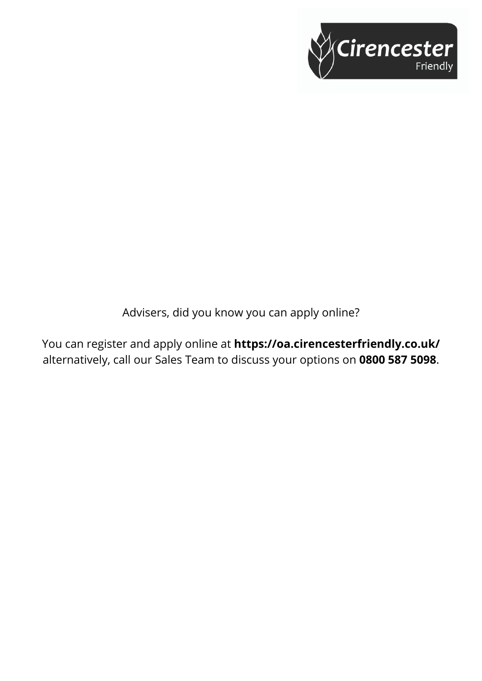

Advisers, did you know you can apply online?

You can register and apply online at **https://oa.cirencesterfriendly.co.uk/** alternatively, call our Sales Team to discuss your options on **0800 587 5098**.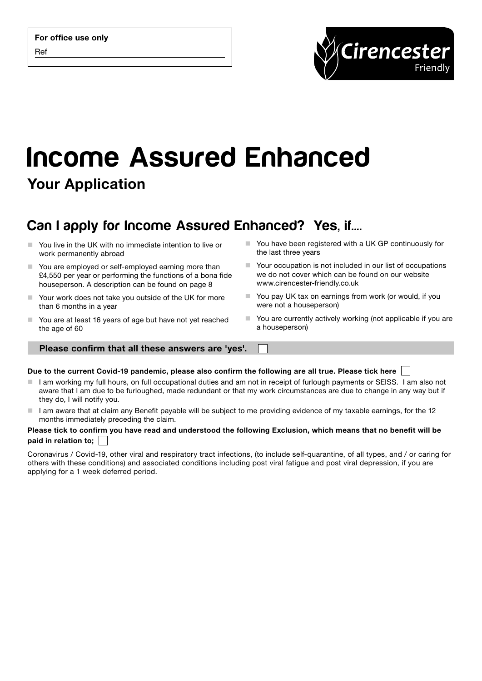

# Income Assured Enhanced Your Application

# Can I apply for Income Assured Enhanced? Yes, if....

- You live in the UK with no immediate intention to live or work permanently abroad
- You are employed or self-employed earning more than £4,550 per year or performing the functions of a bona fide houseperson. A description can be found on page 8
- Your work does not take you outside of the UK for more than 6 months in a year
- You are at least 16 years of age but have not yet reached the age of 60
- the last three years ■ Your occupation is not included in our list of occupations
	- we do not cover which can be found on our website www.cirencester-friendly.co.uk

■ You have been registered with a UK GP continuously for

- You pay UK tax on earnings from work (or would, if you were not a houseperson)
- You are currently actively working (not applicable if you are a houseperson)

### Please confirm that all these answers are 'yes'.

### Due to the current Covid-19 pandemic, please also confirm the following are all true. Please tick here  $\Box$

- $\blacksquare$  I am working my full hours, on full occupational duties and am not in receipt of furlough payments or SEISS. I am also not aware that I am due to be furloughed, made redundant or that my work circumstances are due to change in any way but if they do, I will notify you.
- I am aware that at claim any Benefit payable will be subject to me providing evidence of my taxable earnings, for the 12 months immediately preceding the claim.

### Please tick to confirm you have read and understood the following Exclusion, which means that no benefit will be paid in relation to;

Coronavirus / Covid-19, other viral and respiratory tract infections, (to include self-quarantine, of all types, and / or caring for others with these conditions) and associated conditions including post viral fatigue and post viral depression, if you are applying for a 1 week deferred period.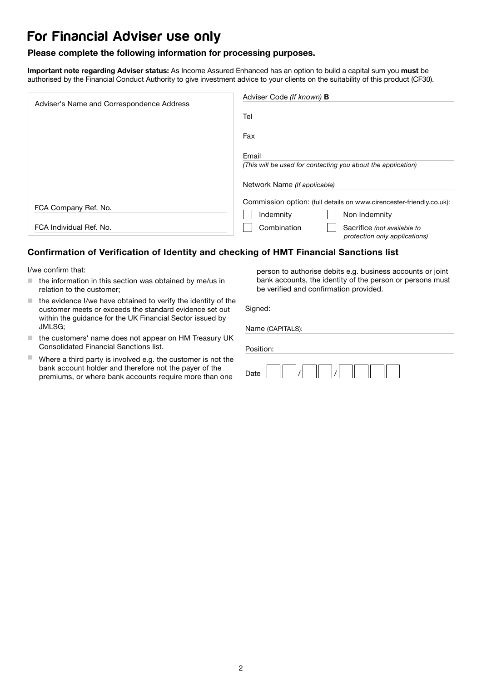# For Financial Adviser use only

### Please complete the following information for processing purposes.

Important note regarding Adviser status: As Income Assured Enhanced has an option to build a capital sum you must be authorised by the Financial Conduct Authority to give investment advice to your clients on the suitability of this product (CF30).

| Adviser's Name and Correspondence Address | Adviser Code (If known) <b>B</b>                                            |
|-------------------------------------------|-----------------------------------------------------------------------------|
|                                           | Tel                                                                         |
|                                           | Fax                                                                         |
|                                           | Email                                                                       |
|                                           | (This will be used for contacting you about the application)                |
|                                           | Network Name (If applicable)                                                |
|                                           | Commission option: (full details on www.cirencester-friendly.co.uk):        |
| FCA Company Ref. No.                      | Non Indemnity<br>Indemnity                                                  |
| FCA Individual Ref. No.                   | Combination<br>Sacrifice (not available to<br>protection only applications) |

### Confirmation of Verification of Identity and checking of HMT Financial Sanctions list

I/we confirm that:

- $\blacksquare$  the information in this section was obtained by me/us in relation to the customer;
- $\blacksquare$  the evidence I/we have obtained to verify the identity of the customer meets or exceeds the standard evidence set out within the guidance for the UK Financial Sector issued by JMLSG;
- $\blacksquare$  the customers' name does not appear on HM Treasury UK Consolidated Financial Sanctions list.
- $\blacksquare$  Where a third party is involved e.g. the customer is not the bank account holder and therefore not the payer of the premiums, or where bank accounts require more than one

person to authorise debits e.g. business accounts or joint bank accounts, the identity of the person or persons must be verified and confirmation provided.

| Signed:          |
|------------------|
| Name (CAPITALS): |
| Position:        |
| Date             |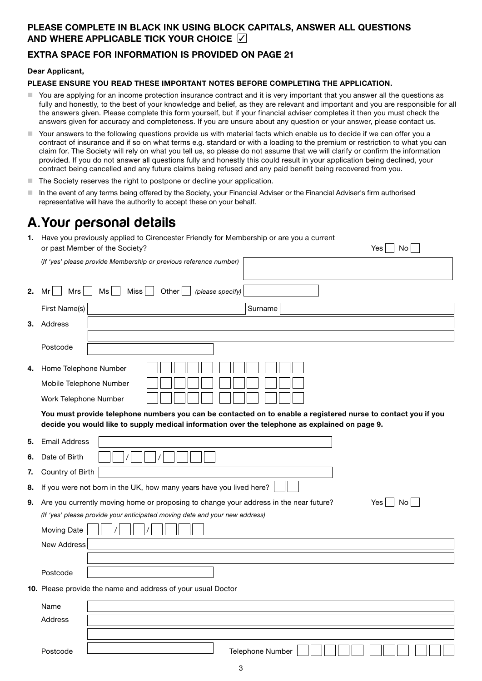### PLEASE COMPLETE IN BLACK INK USING BLOCK CAPITALS, ANSWER ALL QUESTIONS AND WHERE APPLICABLE TICK YOUR CHOICE  $\triangledown$

### EXTRA SPACE FOR INFORMATION IS PROVIDED ON PAGE 21

### Dear Applicant,

### PLEASE ENSURE YOU READ THESE IMPORTANT NOTES BEFORE COMPLETING THE APPLICATION.

- You are applying for an income protection insurance contract and it is very important that you answer all the questions as fully and honestly, to the best of your knowledge and belief, as they are relevant and important and you are responsible for all the answers given. Please complete this form yourself, but if your financial adviser completes it then you must check the answers given for accuracy and completeness. If you are unsure about any question or your answer, please contact us.
- Your answers to the following questions provide us with material facts which enable us to decide if we can offer you a contract of insurance and if so on what terms e.g. standard or with a loading to the premium or restriction to what you can claim for. The Society will rely on what you tell us, so please do not assume that we will clarify or confirm the information provided. If you do not answer all questions fully and honestly this could result in your application being declined, your contract being cancelled and any future claims being refused and any paid benefit being recovered from you.
- The Society reserves the right to postpone or decline your application.

(*If 'yes' please provide Membership or previous reference number)* 

 In the event of any terms being offered by the Society, your Financial Adviser or the Financial Adviser's firm authorised representative will have the authority to accept these on your behalf.

# A.Your personal details

1. Have you previously applied to Cirencester Friendly for Membership or are you a current or past Member of the Society?  $Yes \cap No \cap$ 

| 2. | Ms<br><b>Miss</b><br>Other<br>Mrs<br>Mr<br>(please specify)                                                                                                                                                     |           |
|----|-----------------------------------------------------------------------------------------------------------------------------------------------------------------------------------------------------------------|-----------|
|    | First Name(s)<br>Surname                                                                                                                                                                                        |           |
|    | 3. Address                                                                                                                                                                                                      |           |
|    | Postcode                                                                                                                                                                                                        |           |
| 4. | Home Telephone Number<br>Mobile Telephone Number                                                                                                                                                                |           |
|    | Work Telephone Number                                                                                                                                                                                           |           |
|    | You must provide telephone numbers you can be contacted on to enable a registered nurse to contact you if you<br>decide you would like to supply medical information over the telephone as explained on page 9. |           |
| 5. | <b>Email Address</b>                                                                                                                                                                                            |           |
| 6. | Date of Birth                                                                                                                                                                                                   |           |
| 7. | Country of Birth                                                                                                                                                                                                |           |
| 8. | If you were not born in the UK, how many years have you lived here?                                                                                                                                             |           |
|    | 9. Are you currently moving home or proposing to change your address in the near future?                                                                                                                        | No<br>Yes |
|    | (If 'yes' please provide your anticipated moving date and your new address)                                                                                                                                     |           |
|    | <b>Moving Date</b>                                                                                                                                                                                              |           |
|    | <b>New Address</b>                                                                                                                                                                                              |           |
|    |                                                                                                                                                                                                                 |           |
|    | Postcode                                                                                                                                                                                                        |           |
|    | 10. Please provide the name and address of your usual Doctor                                                                                                                                                    |           |
|    | Name                                                                                                                                                                                                            |           |
|    | Address                                                                                                                                                                                                         |           |
|    |                                                                                                                                                                                                                 |           |
|    | Postcode<br><b>Telephone Number</b>                                                                                                                                                                             |           |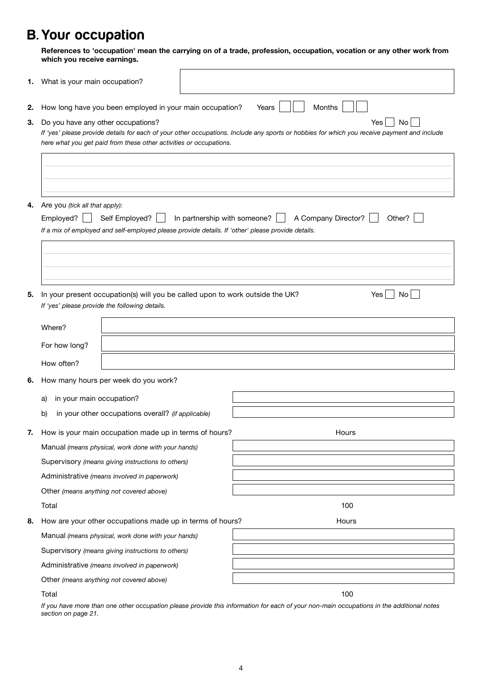# B. Your occupation

References to 'occupation' mean the carrying on of a trade, profession, occupation, vocation or any other work from which you receive earnings.

|    | 1. What is your main occupation?                                                                                                                                                                                                                                     |                              |                               |
|----|----------------------------------------------------------------------------------------------------------------------------------------------------------------------------------------------------------------------------------------------------------------------|------------------------------|-------------------------------|
| 2. | How long have you been employed in your main occupation?                                                                                                                                                                                                             |                              | Months<br>Years               |
| 3. | Do you have any other occupations?<br>Yes<br>No<br>If 'yes' please provide details for each of your other occupations. Include any sports or hobbies for which you receive payment and include<br>here what you get paid from these other activities or occupations. |                              |                               |
|    |                                                                                                                                                                                                                                                                      |                              |                               |
| 4. | Are you (tick all that apply):<br>Employed?<br>Self Employed?<br>If a mix of employed and self-employed please provide details. If 'other' please provide details.                                                                                                   | In partnership with someone? | A Company Director?<br>Other? |
|    |                                                                                                                                                                                                                                                                      |                              |                               |
| 5. | In your present occupation(s) will you be called upon to work outside the UK?<br>If 'yes' please provide the following details.                                                                                                                                      |                              | No<br>Yes                     |
|    | Where?                                                                                                                                                                                                                                                               |                              |                               |
|    | For how long?                                                                                                                                                                                                                                                        |                              |                               |
|    | How often?                                                                                                                                                                                                                                                           |                              |                               |
| 6. | How many hours per week do you work?                                                                                                                                                                                                                                 |                              |                               |
|    | in your main occupation?<br>a)                                                                                                                                                                                                                                       |                              |                               |
|    | in your other occupations overall? (if applicable)<br>b)                                                                                                                                                                                                             |                              |                               |
|    | How is your main occupation made up in terms of hours?                                                                                                                                                                                                               |                              | Hours                         |
|    | Manual (means physical, work done with your hands)                                                                                                                                                                                                                   |                              |                               |
|    | Supervisory (means giving instructions to others)                                                                                                                                                                                                                    |                              |                               |
|    | Administrative (means involved in paperwork)                                                                                                                                                                                                                         |                              |                               |
|    | Other (means anything not covered above)                                                                                                                                                                                                                             |                              |                               |
|    | Total                                                                                                                                                                                                                                                                |                              | 100                           |
| 8. | How are your other occupations made up in terms of hours?                                                                                                                                                                                                            |                              | Hours                         |
|    | Manual (means physical, work done with your hands)                                                                                                                                                                                                                   |                              |                               |
|    | Supervisory (means giving instructions to others)                                                                                                                                                                                                                    |                              |                               |
|    | Administrative (means involved in paperwork)                                                                                                                                                                                                                         |                              |                               |
|    | Other (means anything not covered above)                                                                                                                                                                                                                             |                              |                               |
|    | Total                                                                                                                                                                                                                                                                |                              | 100                           |

*If you have more than one other occupation please provide this information for each of your non-main occupations in the additional notes section on page 21.*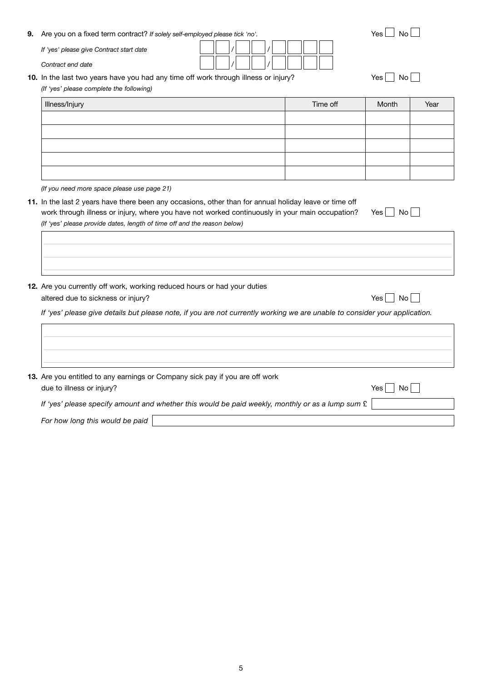| 12. Are you currently off work, working reduced hours or had your duties                                           |           |
|--------------------------------------------------------------------------------------------------------------------|-----------|
| altered due to sickness or injury?                                                                                 | Yes<br>No |
| If 'yes' please give details but please note, if you are not currently working we are unable to consider your appi |           |
|                                                                                                                    |           |
|                                                                                                                    |           |
| 13. Are you entitled to any earnings or Company sick pay if you are off work<br>due to illness or injury?          | Yes<br>No |
| If 'yes' please specify amount and whether this would be paid weekly, monthly or as a lump sum £                   |           |
| For how long this would be paid                                                                                    |           |
|                                                                                                                    |           |
|                                                                                                                    |           |
|                                                                                                                    |           |
|                                                                                                                    |           |
|                                                                                                                    |           |

*(If you need more space please use page 21)* 11. In the last 2 years have there been any occasions, other than for annual holiday leave or time off

Illness/Injury the Communication of the Communication of the Time off Month Near Year

- work through illness or injury, where you have not worked continuously in your main occupation? Yes  $\Box$  No  $\Box$
- 

*(If 'yes' please provide dates, length of time off and the reason below)*

- 
- altered due to sickness or inju

*If 'yes' please give details but please note, if you are not currently working we are unable to consider your application.*

- 13. Are you entitled to any earning
- due to illness or injury? *If 'yes' please specify amount*

*If 'yes' please give Contract start date* 

*(If 'yes' please complete the following)*

Contract end date

| <b>9.</b> Are you on a fixed term contract? If solely self-employed please tick 'no'. | $Yes \Box No \Box$ |
|---------------------------------------------------------------------------------------|--------------------|
| If was places sive Contract stort data                                                |                    |

**10.** In the last two years have you had any time off work through illness or injury? Yes  $\Box$  No  $\Box$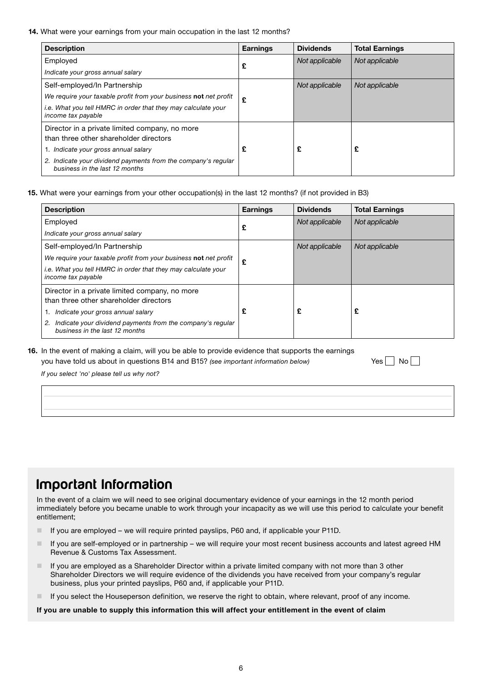14. What were your earnings from your main occupation in the last 12 months?

| <b>Description</b>                                                                              | <b>Earnings</b> | <b>Dividends</b> | <b>Total Earnings</b> |
|-------------------------------------------------------------------------------------------------|-----------------|------------------|-----------------------|
| Employed                                                                                        | £               | Not applicable   | Not applicable        |
| Indicate your gross annual salary                                                               |                 |                  |                       |
| Self-employed/In Partnership                                                                    |                 | Not applicable   | Not applicable        |
| We require your taxable profit from your business not net profit                                | £               |                  |                       |
| i.e. What you tell HMRC in order that they may calculate your<br>income tax payable             |                 |                  |                       |
| Director in a private limited company, no more<br>than three other shareholder directors        |                 |                  |                       |
| 1. Indicate your gross annual salary                                                            | £               | £                | £                     |
| 2. Indicate your dividend payments from the company's regular<br>business in the last 12 months |                 |                  |                       |

15. What were your earnings from your other occupation(s) in the last 12 months? (if not provided in B3)

| <b>Description</b>                                                                                 | <b>Earnings</b> | <b>Dividends</b> | <b>Total Earnings</b> |
|----------------------------------------------------------------------------------------------------|-----------------|------------------|-----------------------|
| Employed                                                                                           | £               | Not applicable   | Not applicable        |
| Indicate your gross annual salary                                                                  |                 |                  |                       |
| Self-employed/In Partnership                                                                       |                 | Not applicable   | Not applicable        |
| We require your taxable profit from your business not net profit                                   | £               |                  |                       |
| <i>i.e.</i> What you tell HMRC in order that they may calculate your<br>income tax payable         |                 |                  |                       |
| Director in a private limited company, no more                                                     |                 |                  |                       |
| than three other shareholder directors                                                             |                 |                  |                       |
| Indicate your gross annual salary                                                                  | £               | £                | £                     |
| Indicate your dividend payments from the company's regular<br>2.<br>business in the last 12 months |                 |                  |                       |

16. In the event of making a claim, will you be able to provide evidence that supports the earnings you have told us about in questions B14 and B15? *(see important information below)* Yes No

*If you select 'no' please tell us why not?*

## Important Information

In the event of a claim we will need to see original documentary evidence of your earnings in the 12 month period immediately before you became unable to work through your incapacity as we will use this period to calculate your benefit entitlement;

- If you are employed we will require printed payslips, P60 and, if applicable your P11D.
- If you are self-employed or in partnership we will require your most recent business accounts and latest agreed HM Revenue & Customs Tax Assessment.
- If you are employed as a Shareholder Director within a private limited company with not more than 3 other Shareholder Directors we will require evidence of the dividends you have received from your company's regular business, plus your printed payslips, P60 and, if applicable your P11D.
- If you select the Houseperson definition, we reserve the right to obtain, where relevant, proof of any income.

### If you are unable to supply this information this will affect your entitlement in the event of claim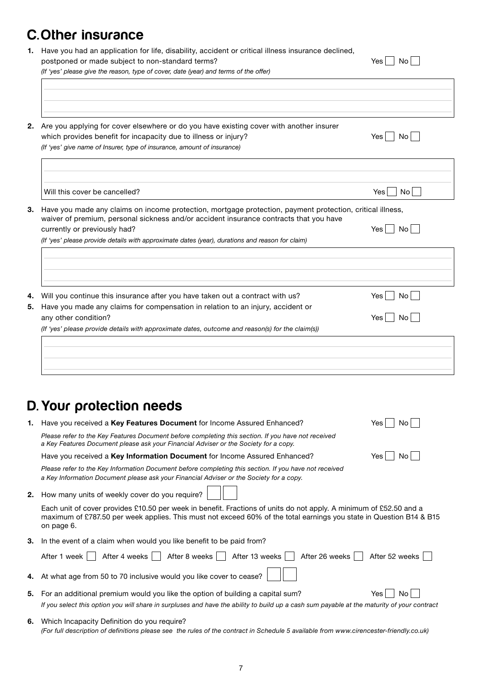# C.Other insurance

| postponed or made subject to non-standard terms?                                                                                                                                                    | <b>No</b><br>Yes       |  |  |
|-----------------------------------------------------------------------------------------------------------------------------------------------------------------------------------------------------|------------------------|--|--|
| (If 'yes' please give the reason, type of cover, date (year) and terms of the offer)                                                                                                                |                        |  |  |
|                                                                                                                                                                                                     |                        |  |  |
| Are you applying for cover elsewhere or do you have existing cover with another insurer                                                                                                             |                        |  |  |
| which provides benefit for incapacity due to illness or injury?                                                                                                                                     | No l<br>Yes l          |  |  |
| (If 'yes' give name of Insurer, type of insurance, amount of insurance)                                                                                                                             |                        |  |  |
|                                                                                                                                                                                                     |                        |  |  |
| Will this cover be cancelled?                                                                                                                                                                       | No<br>Yes              |  |  |
| Have you made any claims on income protection, mortgage protection, payment protection, critical illness,<br>waiver of premium, personal sickness and/or accident insurance contracts that you have |                        |  |  |
| currently or previously had?                                                                                                                                                                        | No <sub>1</sub><br>Yes |  |  |
| (If 'yes' please provide details with approximate dates (year), durations and reason for claim)                                                                                                     |                        |  |  |
|                                                                                                                                                                                                     |                        |  |  |
| Will you continue this insurance after you have taken out a contract with us?                                                                                                                       | No <sub>1</sub><br>Yes |  |  |
| Have you made any claims for compensation in relation to an injury, accident or<br>any other condition?                                                                                             | Yes  <br>No l          |  |  |
| (If 'yes' please provide details with approximate dates, outcome and reason(s) for the claim(s))                                                                                                    |                        |  |  |
|                                                                                                                                                                                                     |                        |  |  |
|                                                                                                                                                                                                     |                        |  |  |
|                                                                                                                                                                                                     |                        |  |  |

 $\overline{\phantom{a}}$ 

1. Have you had an application for life, disability, accident or critical illness insurance declined,

# D. Your protection needs

L

| 1. | Have you received a <b>Key Features Document</b> for Income Assured Enhanced?                                                                                                                                                                           | Yes            |
|----|---------------------------------------------------------------------------------------------------------------------------------------------------------------------------------------------------------------------------------------------------------|----------------|
|    | Please refer to the Key Features Document before completing this section. If you have not received<br>a Key Features Document please ask your Financial Adviser or the Society for a copy.                                                              |                |
|    | Have you received a Key Information Document for Income Assured Enhanced?                                                                                                                                                                               | Yes<br>No.     |
|    | Please refer to the Key Information Document before completing this section. If you have not received<br>a Key Information Document please ask your Financial Adviser or the Society for a copy.                                                        |                |
| 2. | How many units of weekly cover do you require?                                                                                                                                                                                                          |                |
|    | Each unit of cover provides £10.50 per week in benefit. Fractions of units do not apply. A minimum of £52.50 and a<br>maximum of £787.50 per week applies. This must not exceed 60% of the total earnings you state in Question B14 & B15<br>on page 6. |                |
| З. | In the event of a claim when would you like benefit to be paid from?                                                                                                                                                                                    |                |
|    | After 4 weeks    <br>After 8 weeks  <br>After 13 weeks<br>After 26 weeks<br>After 1 week                                                                                                                                                                | After 52 weeks |
|    | 4. At what age from 50 to 70 inclusive would you like cover to cease?                                                                                                                                                                                   |                |
| 5. | For an additional premium would you like the option of building a capital sum?                                                                                                                                                                          | Yes<br>Nο      |
|    | If you select this option you will share in surpluses and have the ability to build up a cash sum payable at the maturity of your contract                                                                                                              |                |
| 6. | Which Incapacity Definition do you require?<br>(For full description of definitions please see the rules of the contract in Schedule 5 available from www.cirencester-friendly.co.uk)                                                                   |                |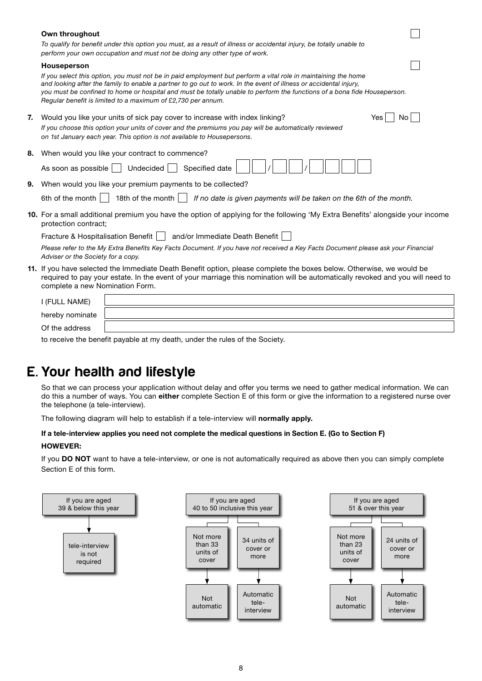|    | Own throughout                                                                                                                                                                                                                                                                                                                                                                                                                  |
|----|---------------------------------------------------------------------------------------------------------------------------------------------------------------------------------------------------------------------------------------------------------------------------------------------------------------------------------------------------------------------------------------------------------------------------------|
|    | To qualify for benefit under this option you must, as a result of illness or accidental injury, be totally unable to<br>perform your own occupation and must not be doing any other type of work.                                                                                                                                                                                                                               |
|    | <b>Houseperson</b>                                                                                                                                                                                                                                                                                                                                                                                                              |
|    | If you select this option, you must not be in paid employment but perform a vital role in maintaining the home<br>and looking after the family to enable a partner to go out to work. In the event of illness or accidental injury,<br>you must be confined to home or hospital and must be totally unable to perform the functions of a bona fide Houseperson.<br>Regular benefit is limited to a maximum of £2,730 per annum. |
| 7. | No <sub>1</sub><br>Would you like your units of sick pay cover to increase with index linking?<br>Yes                                                                                                                                                                                                                                                                                                                           |
|    | If you choose this option your units of cover and the premiums you pay will be automatically reviewed<br>on 1st January each year. This option is not available to Housepersons.                                                                                                                                                                                                                                                |
| 8. | When would you like your contract to commence?                                                                                                                                                                                                                                                                                                                                                                                  |
|    | Undecided<br>Specified date<br>As soon as possible $\vert \ \vert$                                                                                                                                                                                                                                                                                                                                                              |
| 9. | When would you like your premium payments to be collected?                                                                                                                                                                                                                                                                                                                                                                      |
|    | 6th of the month $\vert \ \vert$<br>18th of the month $\vert \ \vert$<br>If no date is given payments will be taken on the 6th of the month.                                                                                                                                                                                                                                                                                    |
|    | 10. For a small additional premium you have the option of applying for the following 'My Extra Benefits' alongside your income<br>protection contract;                                                                                                                                                                                                                                                                          |
|    | Fracture & Hospitalisation Benefit     and/or Immediate Death Benefit                                                                                                                                                                                                                                                                                                                                                           |
|    | Please refer to the My Extra Benefits Key Facts Document. If you have not received a Key Facts Document please ask your Financial<br>Adviser or the Society for a copy.                                                                                                                                                                                                                                                         |
|    | 11. If you have selected the Immediate Death Benefit option, please complete the boxes below. Otherwise, we would be<br>required to pay your estate. In the event of your marriage this nomination will be automatically revoked and you will need to<br>complete a new Nomination Form.                                                                                                                                        |
|    | I (FULL NAME)                                                                                                                                                                                                                                                                                                                                                                                                                   |
|    | hereby nominate                                                                                                                                                                                                                                                                                                                                                                                                                 |
|    | Of the address                                                                                                                                                                                                                                                                                                                                                                                                                  |
|    | to reacive the benefit poveble at my death under the rules of the Cooisty                                                                                                                                                                                                                                                                                                                                                       |

to receive the benefit payable at my death, under the rules of the Society.

# E. Your health and lifestyle

So that we can process your application without delay and offer you terms we need to gather medical information. We can do this a number of ways. You can either complete Section E of this form or give the information to a registered nurse over the telephone (a tele-interview).

The following diagram will help to establish if a tele-interview will normally apply.

### If a tele-interview applies you need not complete the medical questions in Section E. (Go to Section F)

### HOWEVER:

If you DO NOT want to have a tele-interview, or one is not automatically required as above then you can simply complete Section E of this form.

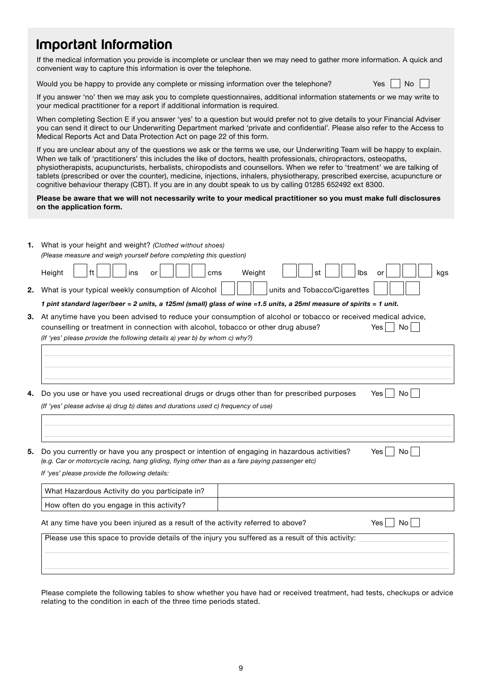# Important Information

If the medical information you provide is incomplete or unclear then we may need to gather more information. A quick and convenient way to capture this information is over the telephone.

Would you be happy to provide any complete or missing information over the telephone? Yes No

|  |  | N٥ |  |
|--|--|----|--|
|--|--|----|--|

If you answer 'no' then we may ask you to complete questionnaires, additional information statements or we may write to your medical practitioner for a report if additional information is required.

When completing Section E if you answer 'yes' to a question but would prefer not to give details to your Financial Adviser you can send it direct to our Underwriting Department marked 'private and confidential'. Please also refer to the Access to Medical Reports Act and Data Protection Act on page 22 of this form.

If you are unclear about any of the questions we ask or the terms we use, our Underwriting Team will be happy to explain. When we talk of 'practitioners' this includes the like of doctors, health professionals, chiropractors, osteopaths, physiotherapists, acupuncturists, herbalists, chiropodists and counsellors. When we refer to 'treatment' we are talking of tablets (prescribed or over the counter), medicine, injections, inhalers, physiotherapy, prescribed exercise, acupuncture or cognitive behaviour therapy (CBT). If you are in any doubt speak to us by calling 01285 652492 ext 8300.

### Please be aware that we will not necessarily write to your medical practitioner so you must make full disclosures on the application form.

| 1. | What is your height and weight? (Clothed without shoes)<br>(Please measure and weigh yourself before completing this question)                                                                                                                                                                              |
|----|-------------------------------------------------------------------------------------------------------------------------------------------------------------------------------------------------------------------------------------------------------------------------------------------------------------|
|    | Ibs<br>ins<br>Weight<br>Height<br>ft<br>cms<br>kgs<br>st<br>or<br>or                                                                                                                                                                                                                                        |
| 2. | What is your typical weekly consumption of Alcohol<br>units and Tobacco/Cigarettes                                                                                                                                                                                                                          |
|    | 1 pint standard lager/beer = 2 units, a 125ml (small) glass of wine =1.5 units, a 25ml measure of spirits = 1 unit.                                                                                                                                                                                         |
| З. | At anytime have you been advised to reduce your consumption of alcohol or tobacco or received medical advice,<br>counselling or treatment in connection with alcohol, tobacco or other drug abuse?<br>No <sub>1</sub><br>Yes.<br>(If 'yes' please provide the following details a) year b) by whom c) why?) |
| 4. | Do you use or have you used recreational drugs or drugs other than for prescribed purposes<br>No<br>Yes.                                                                                                                                                                                                    |
|    | (If 'yes' please advise a) drug b) dates and durations used c) frequency of use)                                                                                                                                                                                                                            |
|    |                                                                                                                                                                                                                                                                                                             |
|    |                                                                                                                                                                                                                                                                                                             |
| 5. | Do you currently or have you any prospect or intention of engaging in hazardous activities?<br>No.<br>Yes<br>(e.g. Car or motorcycle racing, hang gliding, flying other than as a fare paying passenger etc)<br>If 'yes' please provide the following details:                                              |
|    | What Hazardous Activity do you participate in?                                                                                                                                                                                                                                                              |
|    | How often do you engage in this activity?                                                                                                                                                                                                                                                                   |
|    | At any time have you been injured as a result of the activity referred to above?<br>Yes.<br>No.                                                                                                                                                                                                             |
|    | Please use this space to provide details of the injury you suffered as a result of this activity:                                                                                                                                                                                                           |
|    |                                                                                                                                                                                                                                                                                                             |
|    |                                                                                                                                                                                                                                                                                                             |

Please complete the following tables to show whether you have had or received treatment, had tests, checkups or advice relating to the condition in each of the three time periods stated.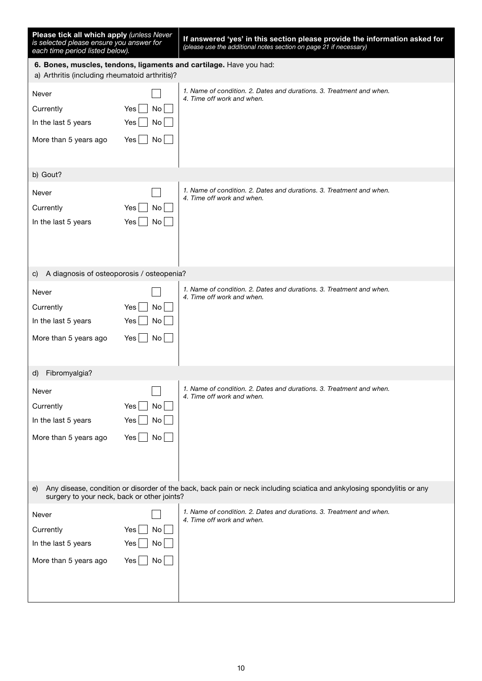| Please tick all which apply (unless Never<br>is selected please ensure you answer for<br>each time period listed below).                                                    |                                     | If answered 'yes' in this section please provide the information asked for<br>(please use the additional notes section on page 21 if necessary) |  |
|-----------------------------------------------------------------------------------------------------------------------------------------------------------------------------|-------------------------------------|-------------------------------------------------------------------------------------------------------------------------------------------------|--|
| a) Arthritis (including rheumatoid arthritis)?                                                                                                                              |                                     | 6. Bones, muscles, tendons, ligaments and cartilage. Have you had:                                                                              |  |
| Never<br>Currently<br>In the last 5 years<br>More than 5 years ago                                                                                                          | Yes<br>No<br>Yes<br>No<br>No<br>Yes | 1. Name of condition. 2. Dates and durations. 3. Treatment and when.<br>4. Time off work and when.                                              |  |
| b) Gout?                                                                                                                                                                    |                                     |                                                                                                                                                 |  |
| Never<br>Currently<br>In the last 5 years<br>A diagnosis of osteoporosis / osteopenia?<br>C)                                                                                | Yes<br>No<br>No<br>Yes              | 1. Name of condition. 2. Dates and durations. 3. Treatment and when.<br>4. Time off work and when.                                              |  |
| Never                                                                                                                                                                       |                                     | 1. Name of condition. 2. Dates and durations. 3. Treatment and when.                                                                            |  |
| Currently<br>In the last 5 years<br>More than 5 years ago                                                                                                                   | Yes<br>No<br>Yes<br>No<br>No<br>Yes | 4. Time off work and when.                                                                                                                      |  |
| Fibromyalgia?<br>d)                                                                                                                                                         |                                     |                                                                                                                                                 |  |
| Never<br>Currently<br>In the last 5 years<br>More than 5 years ago                                                                                                          | No<br>Yes<br>Yes<br>No<br>No<br>Yes | 1. Name of condition. 2. Dates and durations. 3. Treatment and when.<br>4. Time off work and when.                                              |  |
| Any disease, condition or disorder of the back, back pain or neck including sciatica and ankylosing spondylitis or any<br>e)<br>surgery to your neck, back or other joints? |                                     |                                                                                                                                                 |  |
| Never<br>Currently<br>In the last 5 years<br>More than 5 years ago                                                                                                          | Yes<br>No<br>Yes<br>No<br>No<br>Yes | 1. Name of condition. 2. Dates and durations. 3. Treatment and when.<br>4. Time off work and when.                                              |  |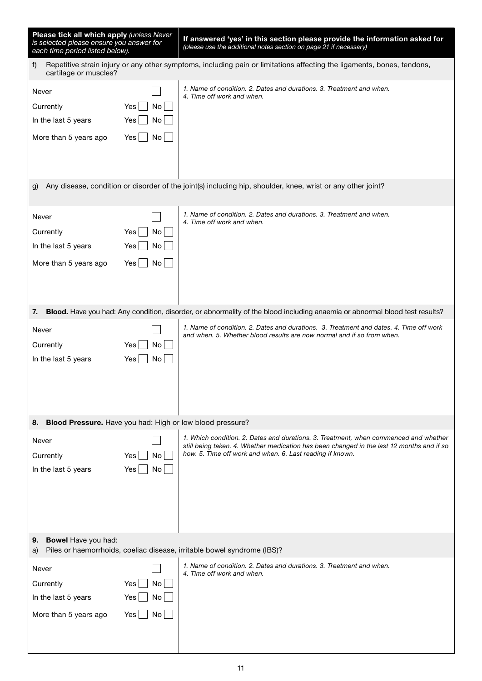| Please tick all which apply (unless Never<br>is selected please ensure you answer for<br>each time period listed below). |                                     | If answered 'yes' in this section please provide the information asked for<br>(please use the additional notes section on page 21 if necessary)                                                                                                |
|--------------------------------------------------------------------------------------------------------------------------|-------------------------------------|------------------------------------------------------------------------------------------------------------------------------------------------------------------------------------------------------------------------------------------------|
| f)<br>cartilage or muscles?                                                                                              |                                     | Repetitive strain injury or any other symptoms, including pain or limitations affecting the ligaments, bones, tendons,                                                                                                                         |
| Never<br>Currently<br>In the last 5 years<br>More than 5 years ago                                                       | Yes<br>No<br>Yes<br>No<br>No<br>Yes | 1. Name of condition. 2. Dates and durations. 3. Treatment and when.<br>4. Time off work and when.                                                                                                                                             |
| g)                                                                                                                       |                                     | Any disease, condition or disorder of the joint(s) including hip, shoulder, knee, wrist or any other joint?                                                                                                                                    |
| Never<br>Currently<br>In the last 5 years<br>More than 5 years ago                                                       | Yes<br>No<br>Yes<br>No<br>No<br>Yes | 1. Name of condition, 2. Dates and durations, 3. Treatment and when.<br>4. Time off work and when.                                                                                                                                             |
| 7.                                                                                                                       |                                     | Blood. Have you had: Any condition, disorder, or abnormality of the blood including anaemia or abnormal blood test results?                                                                                                                    |
| Never<br>Currently<br>In the last 5 years                                                                                | Yes<br>No<br>Yes<br>No              | 1. Name of condition. 2. Dates and durations. 3. Treatment and dates. 4. Time off work<br>and when. 5. Whether blood results are now normal and if so from when.                                                                               |
| 8. Blood Pressure. Have you had: High or low blood pressure?                                                             |                                     |                                                                                                                                                                                                                                                |
| Never<br>Currently<br>In the last 5 years                                                                                | Yes<br>No<br>Yes<br>No.             | 1. Which condition. 2. Dates and durations. 3. Treatment, when commenced and whether<br>still being taken. 4. Whether medication has been changed in the last 12 months and if so<br>how. 5. Time off work and when. 6. Last reading if known. |
| Bowel Have you had:<br>9.<br>a)                                                                                          |                                     | Piles or haemorrhoids, coeliac disease, irritable bowel syndrome (IBS)?                                                                                                                                                                        |
| Never<br>Currently<br>In the last 5 years<br>More than 5 years ago                                                       | Yes<br>No<br>No<br>Yes<br>Yes<br>No | 1. Name of condition. 2. Dates and durations. 3. Treatment and when.<br>4. Time off work and when.                                                                                                                                             |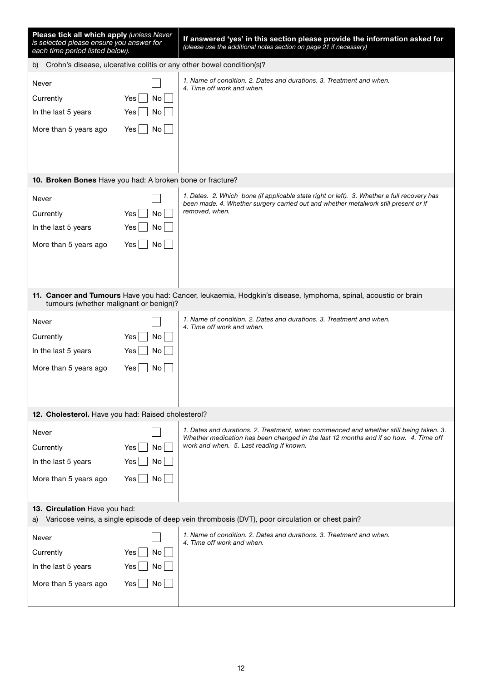| Please tick all which apply (unless Never<br>is selected please ensure you answer for<br>each time period listed below).               |                                         | If answered 'yes' in this section please provide the information asked for<br>(please use the additional notes section on page 21 if necessary)                                                                            |  |
|----------------------------------------------------------------------------------------------------------------------------------------|-----------------------------------------|----------------------------------------------------------------------------------------------------------------------------------------------------------------------------------------------------------------------------|--|
| b)                                                                                                                                     |                                         | Crohn's disease, ulcerative colitis or any other bowel condition(s)?                                                                                                                                                       |  |
| Never<br>Currently<br>In the last 5 years<br>More than 5 years ago                                                                     | No<br>Yes  <br>Yes  <br>No<br>No<br>Yes | 1. Name of condition. 2. Dates and durations. 3. Treatment and when.<br>4. Time off work and when.                                                                                                                         |  |
| 10. Broken Bones Have you had: A broken bone or fracture?                                                                              |                                         |                                                                                                                                                                                                                            |  |
| Never<br>Currently<br>In the last 5 years<br>More than 5 years ago                                                                     | Yes<br>No<br>No<br>Yes  <br>No<br>Yes   | 1. Dates. 2. Which bone (if applicable state right or left). 3. Whether a full recovery has<br>been made. 4. Whether surgery carried out and whether metalwork still present or if<br>removed, when.                       |  |
| tumours (whether malignant or benign)?                                                                                                 |                                         | 11. Cancer and Tumours Have you had: Cancer, leukaemia, Hodgkin's disease, lymphoma, spinal, acoustic or brain                                                                                                             |  |
| Never<br>Currently<br>In the last 5 years<br>More than 5 years ago                                                                     | Yes<br>No<br>Yes<br>No<br>Yes<br>No.    | 1. Name of condition. 2. Dates and durations. 3. Treatment and when.<br>4. Time off work and when.                                                                                                                         |  |
| 12. Cholesterol. Have you had: Raised cholesterol?                                                                                     |                                         |                                                                                                                                                                                                                            |  |
| Never<br>Currently<br>In the last 5 years<br>More than 5 years ago                                                                     | No<br>Yes<br>Yes  <br>No<br>Yes<br>No   | 1. Dates and durations. 2. Treatment, when commenced and whether still being taken. 3.<br>Whether medication has been changed in the last 12 months and if so how. 4. Time off<br>work and when. 5. Last reading if known. |  |
| 13. Circulation Have you had:<br>Varicose veins, a single episode of deep vein thrombosis (DVT), poor circulation or chest pain?<br>a) |                                         |                                                                                                                                                                                                                            |  |
| Never<br>Currently<br>In the last 5 years<br>More than 5 years ago                                                                     | Yes<br>No<br>Yes<br>No<br>Yes<br>No     | 1. Name of condition, 2. Dates and durations, 3. Treatment and when.<br>4. Time off work and when.                                                                                                                         |  |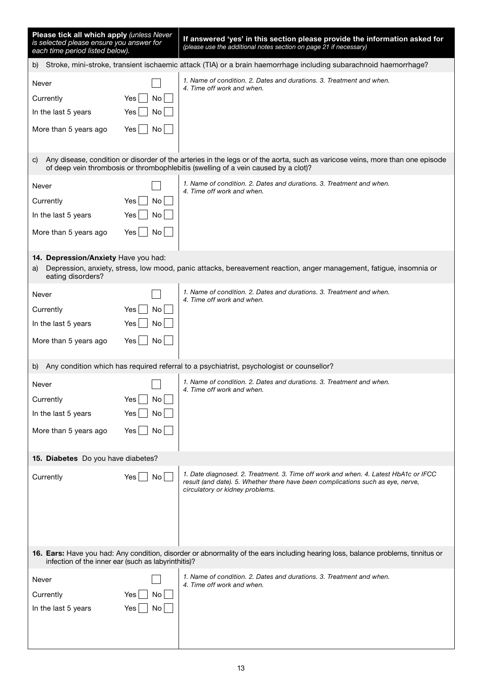| Please tick all which apply (unless Never<br>is selected please ensure you answer for<br>each time period listed below).                                                                |                                         | If answered 'yes' in this section please provide the information asked for<br>(please use the additional notes section on page 21 if necessary)                                                                     |  |
|-----------------------------------------------------------------------------------------------------------------------------------------------------------------------------------------|-----------------------------------------|---------------------------------------------------------------------------------------------------------------------------------------------------------------------------------------------------------------------|--|
|                                                                                                                                                                                         |                                         | b) Stroke, mini-stroke, transient ischaemic attack (TIA) or a brain haemorrhage including subarachnoid haemorrhage?                                                                                                 |  |
| Never<br>Currently<br>In the last 5 years<br>More than 5 years ago                                                                                                                      | Yes<br>No<br>No<br>Yes<br>Yes<br>No     | 1. Name of condition. 2. Dates and durations. 3. Treatment and when.<br>4. Time off work and when.                                                                                                                  |  |
| C)                                                                                                                                                                                      |                                         | Any disease, condition or disorder of the arteries in the legs or of the aorta, such as varicose veins, more than one episode<br>of deep vein thrombosis or thrombophlebitis (swelling of a vein caused by a clot)? |  |
| Never<br>Currently<br>In the last 5 years<br>More than 5 years ago                                                                                                                      | Yes<br>No.<br>Yes  <br>No.<br>Yes<br>No | 1. Name of condition. 2. Dates and durations. 3. Treatment and when.<br>4. Time off work and when.                                                                                                                  |  |
| 14. Depression/Anxiety Have you had:<br>a)<br>eating disorders?                                                                                                                         |                                         | Depression, anxiety, stress, low mood, panic attacks, bereavement reaction, anger management, fatigue, insomnia or                                                                                                  |  |
| Never<br>Currently<br>In the last 5 years<br>More than 5 years ago                                                                                                                      | Yes<br>No<br>Yes<br>No.<br>Yes<br>No    | 1. Name of condition. 2. Dates and durations. 3. Treatment and when.<br>4. Time off work and when.                                                                                                                  |  |
| b)                                                                                                                                                                                      |                                         | Any condition which has required referral to a psychiatrist, psychologist or counsellor?                                                                                                                            |  |
| Never<br>Currently<br>In the last 5 years<br>More than 5 years ago                                                                                                                      | Yes<br>No.<br>Yes<br>No<br>No<br>Yes    | 1. Name of condition. 2. Dates and durations. 3. Treatment and when.<br>4. Time off work and when.                                                                                                                  |  |
| 15. Diabetes Do you have diabetes?                                                                                                                                                      |                                         |                                                                                                                                                                                                                     |  |
| Currently                                                                                                                                                                               | Yes<br>No                               | 1. Date diagnosed. 2. Treatment. 3. Time off work and when. 4. Latest HbA1c or IFCC<br>result (and date). 5. Whether there have been complications such as eye, nerve,<br>circulatory or kidney problems.           |  |
| 16. Ears: Have you had: Any condition, disorder or abnormality of the ears including hearing loss, balance problems, tinnitus or<br>infection of the inner ear (such as labyrinthitis)? |                                         |                                                                                                                                                                                                                     |  |
| Never<br>Currently<br>In the last 5 years                                                                                                                                               | Yes<br>No.<br>Yes<br>No                 | 1. Name of condition. 2. Dates and durations. 3. Treatment and when.<br>4. Time off work and when.                                                                                                                  |  |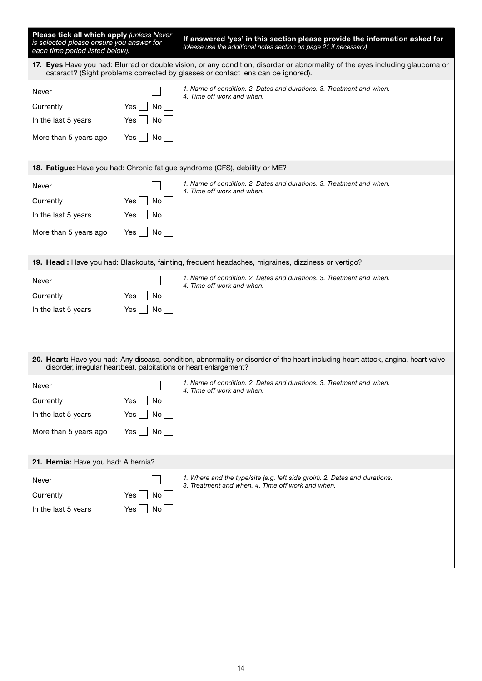| Please tick all which apply (unless Never<br>is selected please ensure you answer for<br>each time period listed below). |                                     | If answered 'yes' in this section please provide the information asked for<br>(please use the additional notes section on page 21 if necessary)                                                                 |  |
|--------------------------------------------------------------------------------------------------------------------------|-------------------------------------|-----------------------------------------------------------------------------------------------------------------------------------------------------------------------------------------------------------------|--|
|                                                                                                                          |                                     | 17. Eyes Have you had: Blurred or double vision, or any condition, disorder or abnormality of the eyes including glaucoma or<br>cataract? (Sight problems corrected by glasses or contact lens can be ignored). |  |
| Never<br>Currently<br>In the last 5 years<br>More than 5 years ago                                                       | Yes<br>No<br>Yes<br>No<br>Yes<br>No | 1. Name of condition. 2. Dates and durations. 3. Treatment and when.<br>4. Time off work and when.                                                                                                              |  |
|                                                                                                                          |                                     | 18. Fatigue: Have you had: Chronic fatigue syndrome (CFS), debility or ME?                                                                                                                                      |  |
| Never<br>Currently<br>In the last 5 years<br>More than 5 years ago                                                       | Yes<br>No<br>No<br>Yes<br>No<br>Yes | 1. Name of condition. 2. Dates and durations. 3. Treatment and when.<br>4. Time off work and when.                                                                                                              |  |
|                                                                                                                          |                                     | 19. Head : Have you had: Blackouts, fainting, frequent headaches, migraines, dizziness or vertigo?                                                                                                              |  |
| Never<br>Currently<br>In the last 5 years                                                                                | No<br>Yes<br>Yes<br>No.             | 1. Name of condition, 2. Dates and durations, 3. Treatment and when.<br>4. Time off work and when.                                                                                                              |  |
| disorder, irregular heartbeat, palpitations or heart enlargement?                                                        |                                     | 20. Heart: Have you had: Any disease, condition, abnormality or disorder of the heart including heart attack, angina, heart valve                                                                               |  |
| Never<br>Currently<br>In the last 5 years<br>More than 5 years ago                                                       | Yes<br>No<br>Yes<br>No<br>No<br>Yes | 1. Name of condition. 2. Dates and durations. 3. Treatment and when.<br>4. Time off work and when.                                                                                                              |  |
| 21. Hernia: Have you had: A hernia?                                                                                      |                                     |                                                                                                                                                                                                                 |  |
| Never<br>Currently<br>In the last 5 years                                                                                | No<br>Yes<br>Yes<br>No              | 1. Where and the type/site (e.g. left side groin). 2. Dates and durations.<br>3. Treatment and when, 4. Time off work and when.                                                                                 |  |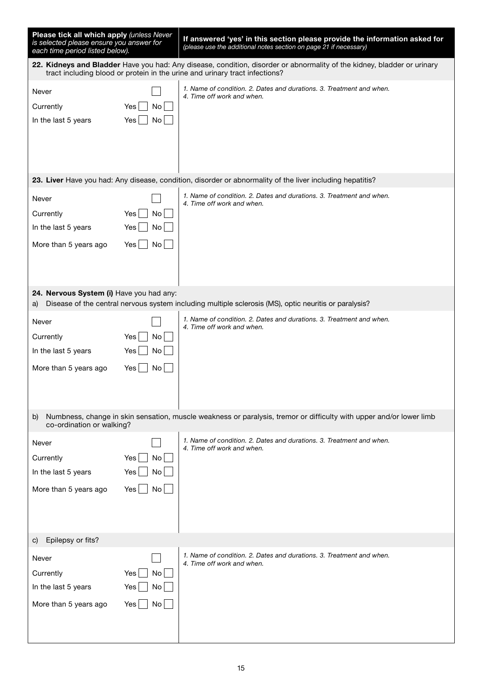| Please tick all which apply (unless Never<br>is selected please ensure you answer for<br>each time period listed below). |                                                                                                                                                                                                        | If answered 'yes' in this section please provide the information asked for<br>(please use the additional notes section on page 21 if necessary) |  |  |
|--------------------------------------------------------------------------------------------------------------------------|--------------------------------------------------------------------------------------------------------------------------------------------------------------------------------------------------------|-------------------------------------------------------------------------------------------------------------------------------------------------|--|--|
|                                                                                                                          | 22. Kidneys and Bladder Have you had: Any disease, condition, disorder or abnormality of the kidney, bladder or urinary<br>tract including blood or protein in the urine and urinary tract infections? |                                                                                                                                                 |  |  |
| Never<br>Currently<br>In the last 5 years                                                                                | Yes<br>No <sub>1</sub><br>No<br>Yes                                                                                                                                                                    | 1. Name of condition. 2. Dates and durations. 3. Treatment and when.<br>4. Time off work and when.                                              |  |  |
|                                                                                                                          |                                                                                                                                                                                                        | 23. Liver Have you had: Any disease, condition, disorder or abnormality of the liver including hepatitis?                                       |  |  |
| Never<br>Currently<br>In the last 5 years<br>More than 5 years ago                                                       | Yes  <br>No<br>No<br>Yes  <br>$\mathsf{No}$<br>Yes                                                                                                                                                     | 1. Name of condition. 2. Dates and durations. 3. Treatment and when.<br>4. Time off work and when.                                              |  |  |
| 24. Nervous System (i) Have you had any:<br>a)                                                                           |                                                                                                                                                                                                        | Disease of the central nervous system including multiple sclerosis (MS), optic neuritis or paralysis?                                           |  |  |
| Never<br>Currently<br>In the last 5 years<br>More than 5 years ago                                                       | Yes<br>No<br>Yes<br>No<br>Yes<br>No                                                                                                                                                                    | 1. Name of condition. 2. Dates and durations. 3. Treatment and when.<br>4. Time off work and when.                                              |  |  |
| b)<br>co-ordination or walking?                                                                                          |                                                                                                                                                                                                        | Numbness, change in skin sensation, muscle weakness or paralysis, tremor or difficulty with upper and/or lower limb                             |  |  |
| Never<br>Currently<br>In the last 5 years<br>More than 5 years ago                                                       | No<br>Yes<br>No<br>Yes<br>Yes<br>$\mathsf{No}$                                                                                                                                                         | 1. Name of condition, 2. Dates and durations, 3. Treatment and when.<br>4. Time off work and when.                                              |  |  |
| Epilepsy or fits?<br>C)                                                                                                  |                                                                                                                                                                                                        |                                                                                                                                                 |  |  |
| Never<br>Currently<br>In the last 5 years<br>More than 5 years ago                                                       | No<br>Yes<br>Yes<br>No<br>Yes<br>No                                                                                                                                                                    | 1. Name of condition, 2. Dates and durations, 3. Treatment and when,<br>4. Time off work and when.                                              |  |  |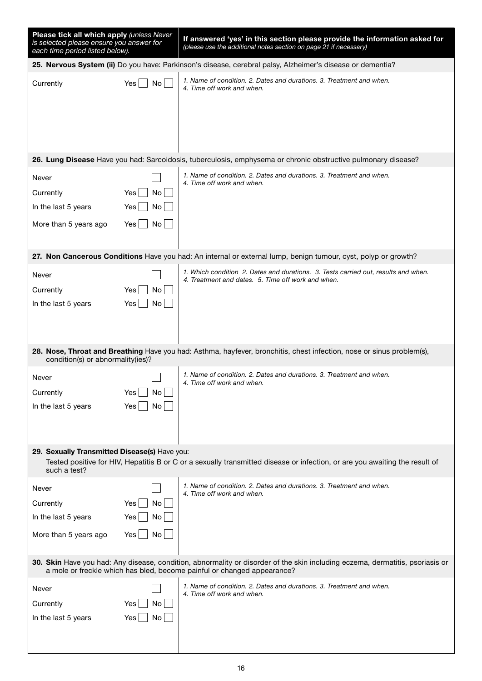| Please tick all which apply (unless Never<br>is selected please ensure you answer for<br>each time period listed below).                                                                                 |                                      | If answered 'yes' in this section please provide the information asked for<br>(please use the additional notes section on page 21 if necessary) |  |
|----------------------------------------------------------------------------------------------------------------------------------------------------------------------------------------------------------|--------------------------------------|-------------------------------------------------------------------------------------------------------------------------------------------------|--|
|                                                                                                                                                                                                          |                                      | 25. Nervous System (ii) Do you have: Parkinson's disease, cerebral palsy, Alzheimer's disease or dementia?                                      |  |
| Currently                                                                                                                                                                                                | No<br>Yes.                           | 1. Name of condition. 2. Dates and durations. 3. Treatment and when.<br>4. Time off work and when.                                              |  |
|                                                                                                                                                                                                          |                                      | 26. Lung Disease Have you had: Sarcoidosis, tuberculosis, emphysema or chronic obstructive pulmonary disease?                                   |  |
| Never<br>Currently<br>In the last 5 years<br>More than 5 years ago                                                                                                                                       | Yes<br>No<br>Yes<br>No.<br>No<br>Yes | 1. Name of condition. 2. Dates and durations. 3. Treatment and when.<br>4. Time off work and when.                                              |  |
|                                                                                                                                                                                                          |                                      | 27. Non Cancerous Conditions Have you had: An internal or external lump, benign tumour, cyst, polyp or growth?                                  |  |
| Never<br>Currently<br>In the last 5 years                                                                                                                                                                | Yes<br>No<br>Yes<br>No               | 1. Which condition 2. Dates and durations. 3. Tests carried out, results and when.<br>4. Treatment and dates. 5. Time off work and when.        |  |
| condition(s) or abnormality(ies)?                                                                                                                                                                        |                                      | 28. Nose, Throat and Breathing Have you had: Asthma, hayfever, bronchitis, chest infection, nose or sinus problem(s),                           |  |
| Never<br>Currently<br>In the last 5 years                                                                                                                                                                | Yes<br>No  <br>Yes<br>No.            | 1. Name of condition. 2. Dates and durations. 3. Treatment and when.<br>4. Time off work and when.                                              |  |
| 29. Sexually Transmitted Disease(s) Have you:<br>such a test?                                                                                                                                            |                                      | Tested positive for HIV, Hepatitis B or C or a sexually transmitted disease or infection, or are you awaiting the result of                     |  |
| Never<br>Currently<br>In the last 5 years<br>More than 5 years ago                                                                                                                                       | No<br>Yes<br>Yes<br>No<br>Yes<br>No  | 1. Name of condition. 2. Dates and durations. 3. Treatment and when.<br>4. Time off work and when.                                              |  |
| 30. Skin Have you had: Any disease, condition, abnormality or disorder of the skin including eczema, dermatitis, psoriasis or<br>a mole or freckle which has bled, become painful or changed appearance? |                                      |                                                                                                                                                 |  |
| Never<br>Currently<br>In the last 5 years                                                                                                                                                                | Yes<br>No<br>Yes  <br>No             | 1. Name of condition. 2. Dates and durations. 3. Treatment and when.<br>4. Time off work and when.                                              |  |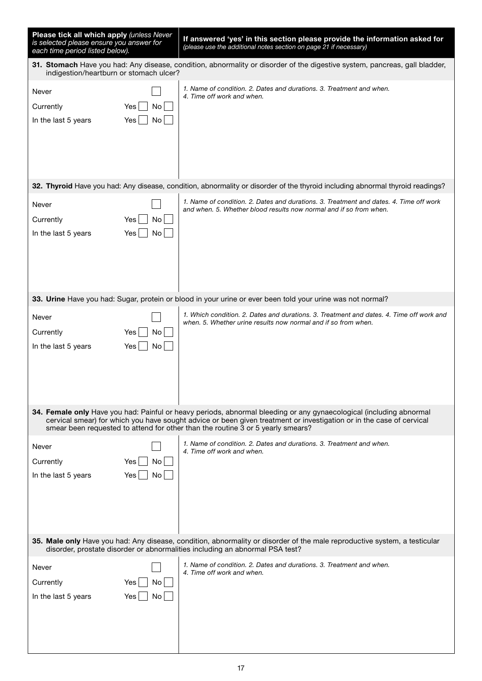| Please tick all which apply (unless Never<br>is selected please ensure you answer for<br>each time period listed below).                                                                                  |                                                                                                                                                                       | If answered 'yes' in this section please provide the information asked for<br>(please use the additional notes section on page 21 if necessary)                                                                                                                                                                                |  |  |
|-----------------------------------------------------------------------------------------------------------------------------------------------------------------------------------------------------------|-----------------------------------------------------------------------------------------------------------------------------------------------------------------------|--------------------------------------------------------------------------------------------------------------------------------------------------------------------------------------------------------------------------------------------------------------------------------------------------------------------------------|--|--|
|                                                                                                                                                                                                           | 31. Stomach Have you had: Any disease, condition, abnormality or disorder of the digestive system, pancreas, gall bladder,<br>indigestion/heartburn or stomach ulcer? |                                                                                                                                                                                                                                                                                                                                |  |  |
| Never<br>Currently<br>Yes<br>In the last 5 years<br>Yes l                                                                                                                                                 | No.<br>No.                                                                                                                                                            | 1. Name of condition. 2. Dates and durations. 3. Treatment and when.<br>4. Time off work and when.                                                                                                                                                                                                                             |  |  |
|                                                                                                                                                                                                           |                                                                                                                                                                       | 32. Thyroid Have you had: Any disease, condition, abnormality or disorder of the thyroid including abnormal thyroid readings?                                                                                                                                                                                                  |  |  |
| Never<br>Currently<br>Yes<br>In the last 5 years<br>Yes                                                                                                                                                   | No<br>No.                                                                                                                                                             | 1. Name of condition. 2. Dates and durations. 3. Treatment and dates. 4. Time off work<br>and when. 5. Whether blood results now normal and if so from when.                                                                                                                                                                   |  |  |
|                                                                                                                                                                                                           |                                                                                                                                                                       | 33. Urine Have you had: Sugar, protein or blood in your urine or ever been told your urine was not normal?                                                                                                                                                                                                                     |  |  |
| Never<br>Currently<br>Yes<br>In the last 5 years<br>Yes                                                                                                                                                   | No.<br>No                                                                                                                                                             | 1. Which condition. 2. Dates and durations. 3. Treatment and dates. 4. Time off work and<br>when. 5. Whether urine results now normal and if so from when.                                                                                                                                                                     |  |  |
|                                                                                                                                                                                                           |                                                                                                                                                                       | 34. Female only Have you had: Painful or heavy periods, abnormal bleeding or any gynaecological (including abnormal<br>cervical smear) for which you have sought advice or been given treatment or investigation or in the case of cervical<br>smear been requested to attend for other than the routine 3 or 5 yearly smears? |  |  |
| Never<br>Currently<br>Yes<br>Yes  <br>In the last 5 years                                                                                                                                                 | No<br>No                                                                                                                                                              | 1. Name of condition. 2. Dates and durations. 3. Treatment and when.<br>4. Time off work and when.                                                                                                                                                                                                                             |  |  |
| 35. Male only Have you had: Any disease, condition, abnormality or disorder of the male reproductive system, a testicular<br>disorder, prostate disorder or abnormalities including an abnormal PSA test? |                                                                                                                                                                       |                                                                                                                                                                                                                                                                                                                                |  |  |
| Never<br>Currently<br>Yes<br>In the last 5 years<br>Yes                                                                                                                                                   | No<br>No.                                                                                                                                                             | 1. Name of condition. 2. Dates and durations. 3. Treatment and when.<br>4. Time off work and when.                                                                                                                                                                                                                             |  |  |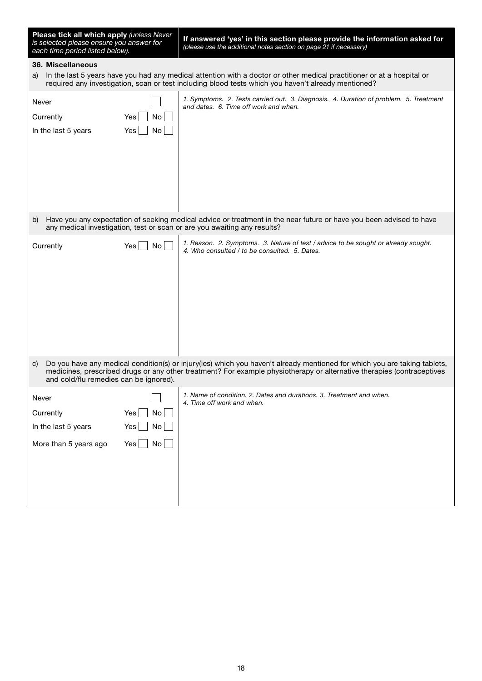| Please tick all which apply (unless Never<br>is selected please ensure you answer for<br>each time period listed below).                                                                                                                                                                            |                        | If answered 'yes' in this section please provide the information asked for<br>(please use the additional notes section on page 21 if necessary)                                                                               |  |
|-----------------------------------------------------------------------------------------------------------------------------------------------------------------------------------------------------------------------------------------------------------------------------------------------------|------------------------|-------------------------------------------------------------------------------------------------------------------------------------------------------------------------------------------------------------------------------|--|
| 36. Miscellaneous                                                                                                                                                                                                                                                                                   |                        |                                                                                                                                                                                                                               |  |
| a)                                                                                                                                                                                                                                                                                                  |                        | In the last 5 years have you had any medical attention with a doctor or other medical practitioner or at a hospital or<br>required any investigation, scan or test including blood tests which you haven't already mentioned? |  |
| Never                                                                                                                                                                                                                                                                                               |                        | 1. Symptoms. 2. Tests carried out. 3. Diagnosis. 4. Duration of problem. 5. Treatment<br>and dates. 6. Time off work and when.                                                                                                |  |
| Currently                                                                                                                                                                                                                                                                                           | Yes<br>No              |                                                                                                                                                                                                                               |  |
| In the last 5 years                                                                                                                                                                                                                                                                                 | Yes<br>No              |                                                                                                                                                                                                                               |  |
|                                                                                                                                                                                                                                                                                                     |                        |                                                                                                                                                                                                                               |  |
| b)                                                                                                                                                                                                                                                                                                  |                        | Have you any expectation of seeking medical advice or treatment in the near future or have you been advised to have<br>any medical investigation, test or scan or are you awaiting any results?                               |  |
| Currently                                                                                                                                                                                                                                                                                           | No <sub>1</sub><br>Yes | 1. Reason. 2. Symptoms. 3. Nature of test / advice to be sought or already sought.<br>4. Who consulted / to be consulted. 5. Dates.                                                                                           |  |
| Do you have any medical condition(s) or injury(ies) which you haven't already mentioned for which you are taking tablets,<br>C)<br>medicines, prescribed drugs or any other treatment? For example physiotherapy or alternative therapies (contraceptives<br>and cold/flu remedies can be ignored). |                        |                                                                                                                                                                                                                               |  |
| Never                                                                                                                                                                                                                                                                                               |                        | 1. Name of condition, 2. Dates and durations, 3. Treatment and when.                                                                                                                                                          |  |
|                                                                                                                                                                                                                                                                                                     | <b>No</b>              | 4. Time off work and when.                                                                                                                                                                                                    |  |
| Currently                                                                                                                                                                                                                                                                                           | Yes                    |                                                                                                                                                                                                                               |  |
| In the last 5 years                                                                                                                                                                                                                                                                                 | Yes<br>No              |                                                                                                                                                                                                                               |  |
| More than 5 years ago                                                                                                                                                                                                                                                                               | No<br>Yes              |                                                                                                                                                                                                                               |  |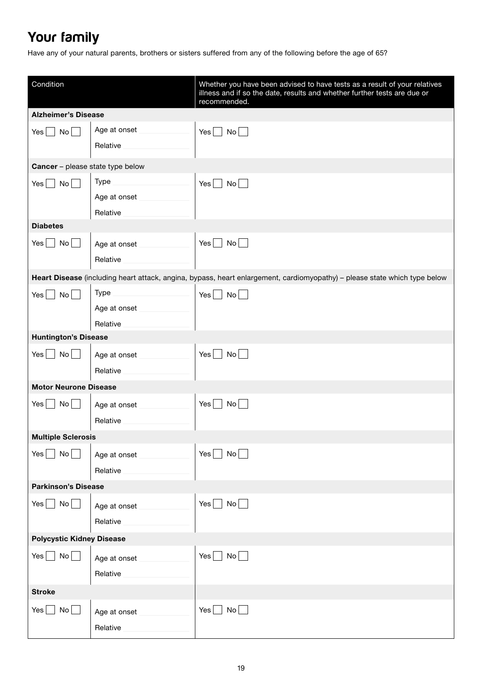# Your family

Have any of your natural parents, brothers or sisters suffered from any of the following before the age of 65?

| Condition                               |              | Whether you have been advised to have tests as a result of your relatives<br>illness and if so the date, results and whether further tests are due or<br>recommended. |
|-----------------------------------------|--------------|-----------------------------------------------------------------------------------------------------------------------------------------------------------------------|
| <b>Alzheimer's Disease</b>              |              |                                                                                                                                                                       |
| No<br>Yes                               | Age at onset | Yes  <br>No    <br>$\sim$ 1                                                                                                                                           |
|                                         | Relative     |                                                                                                                                                                       |
| Cancer - please state type below        |              |                                                                                                                                                                       |
| No<br>Yes                               | <b>Type</b>  | Yes $\Box$<br>$\overline{N}$ o $\vert$ $\vert$                                                                                                                        |
|                                         | Age at onset |                                                                                                                                                                       |
|                                         | Relative     |                                                                                                                                                                       |
| <b>Diabetes</b>                         |              |                                                                                                                                                                       |
| No<br>Yes                               | Age at onset | $Yes$ $\Box$<br>$\mathsf{No} \bigsqcup$                                                                                                                               |
|                                         | Relative     |                                                                                                                                                                       |
|                                         |              | Heart Disease (including heart attack, angina, bypass, heart enlargement, cardiomyopathy) - please state which type below                                             |
|                                         | <b>Type</b>  |                                                                                                                                                                       |
| $\overline{N}$ o<br>Yes                 | Age at onset | $\mathsf{No}$<br>$Yes \mid \mid$                                                                                                                                      |
|                                         | Relative     |                                                                                                                                                                       |
| <b>Huntington's Disease</b>             |              |                                                                                                                                                                       |
|                                         |              |                                                                                                                                                                       |
| $\overline{N}$ o $\vert$ $\vert$<br>Yes | Age at onset | $\overline{N}$ o $\vert$ $\vert$<br>$Yes \mid \cdot$                                                                                                                  |
|                                         | Relative     |                                                                                                                                                                       |
| <b>Motor Neurone Disease</b>            |              |                                                                                                                                                                       |
| No<br>Yes                               | Age at onset | Yes<br>$\mathsf{No}$                                                                                                                                                  |
|                                         | Relative     |                                                                                                                                                                       |
| <b>Multiple Sclerosis</b>               |              |                                                                                                                                                                       |
| $\blacksquare$ No $\blacksquare$<br>Yes | Age at onset | Yes $\vert$ $\vert$<br>$\mathsf{No}$                                                                                                                                  |
|                                         | Relative     |                                                                                                                                                                       |
| <b>Parkinson's Disease</b>              |              |                                                                                                                                                                       |
| No<br>Yes                               | Age at onset | No<br>Yes $\vert$ $\vert$                                                                                                                                             |
|                                         | Relative     |                                                                                                                                                                       |
|                                         |              |                                                                                                                                                                       |
| <b>Polycystic Kidney Disease</b>        |              |                                                                                                                                                                       |
| No<br>Yes                               | Age at onset | $Yes \bigsqcup No \bigsqcup$                                                                                                                                          |
|                                         | Relative     |                                                                                                                                                                       |
| <b>Stroke</b>                           |              |                                                                                                                                                                       |
| Yes<br>No                               | Age at onset | No<br>Yes                                                                                                                                                             |
|                                         | Relative     |                                                                                                                                                                       |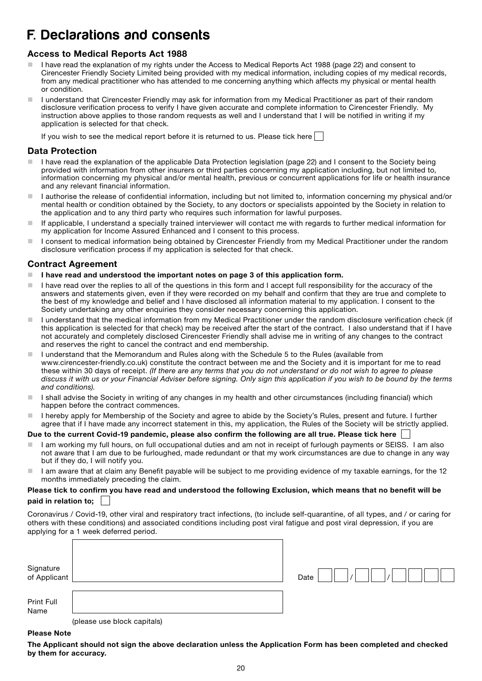# F. Declarations and consents

### Access to Medical Reports Act 1988

- I have read the explanation of my rights under the Access to Medical Reports Act 1988 (page 22) and consent to Cirencester Friendly Society Limited being provided with my medical information, including copies of my medical records, from any medical practitioner who has attended to me concerning anything which affects my physical or mental health or condition.
- I understand that Cirencester Friendly may ask for information from my Medical Practitioner as part of their random disclosure verification process to verify I have given accurate and complete information to Cirencester Friendly. My instruction above applies to those random requests as well and I understand that I will be notified in writing if my application is selected for that check.

If you wish to see the medical report before it is returned to us. Please tick here  $\Box$ 

### Data Protection

- I have read the explanation of the applicable Data Protection legislation (page 22) and I consent to the Society being provided with information from other insurers or third parties concerning my application including, but not limited to, information concerning my physical and/or mental health, previous or concurrent applications for life or health insurance and any relevant financial information.
- I authorise the release of confidential information, including but not limited to, information concerning my physical and/or mental health or condition obtained by the Society, to any doctors or specialists appointed by the Society in relation to the application and to any third party who requires such information for lawful purposes.
- If applicable, I understand a specially trained interviewer will contact me with regards to further medical information for my application for Income Assured Enhanced and I consent to this process.
- I consent to medical information being obtained by Cirencester Friendly from my Medical Practitioner under the random disclosure verification process if my application is selected for that check.

### Contract Agreement

- I have read and understood the important notes on page 3 of this application form.
- $\blacksquare$  I have read over the replies to all of the questions in this form and I accept full responsibility for the accuracy of the answers and statements given, even if they were recorded on my behalf and confirm that they are true and complete to the best of my knowledge and belief and I have disclosed all information material to my application. I consent to the Society undertaking any other enquiries they consider necessary concerning this application.
- I understand that the medical information from my Medical Practitioner under the random disclosure verification check (if this application is selected for that check) may be received after the start of the contract. I also understand that if I have not accurately and completely disclosed Cirencester Friendly shall advise me in writing of any changes to the contract and reserves the right to cancel the contract and end membership.
- I understand that the Memorandum and Rules along with the Schedule 5 to the Rules (available from www.cirencester-friendly.co.uk) constitute the contract between me and the Society and it is important for me to read these within 30 days of receipt. *(If there are any terms that you do not understand or do not wish to agree to please discuss it with us or your Financial Adviser before signing. Only sign this application if you wish to be bound by the terms and conditions).*
- I I shall advise the Society in writing of any changes in my health and other circumstances (including financial) which happen before the contract commences.
- Inereby apply for Membership of the Society and agree to abide by the Society's Rules, present and future. I further agree that if I have made any incorrect statement in this, my application, the Rules of the Society will be strictly applied.

### Due to the current Covid-19 pandemic, please also confirm the following are all true. Please tick here

- I am working my full hours, on full occupational duties and am not in receipt of furlough payments or SEISS. I am also not aware that I am due to be furloughed, made redundant or that my work circumstances are due to change in any way but if they do, I will notify you.
- I am aware that at claim any Benefit payable will be subject to me providing evidence of my taxable earnings, for the 12 months immediately preceding the claim.

### Please tick to confirm you have read and understood the following Exclusion, which means that no benefit will be paid in relation to;

Coronavirus / Covid-19, other viral and respiratory tract infections, (to include self-quarantine, of all types, and / or caring for others with these conditions) and associated conditions including post viral fatigue and post viral depression, if you are applying for a 1 week deferred period.

| Signature<br>of Applicant |                             | Date |
|---------------------------|-----------------------------|------|
| Print Full<br>Name        | (please use block capitals) |      |

### Please Note

The Applicant should not sign the above declaration unless the Application Form has been completed and checked by them for accuracy.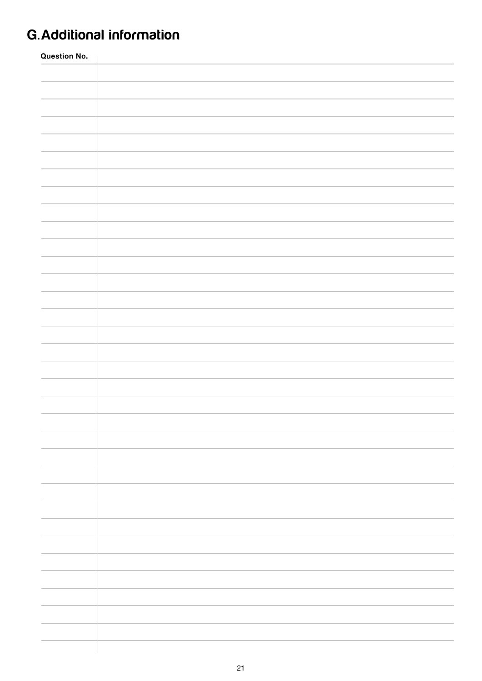# G.Additional information

| <b>Question No.</b> |  |  |  |  |  |  |
|---------------------|--|--|--|--|--|--|
|                     |  |  |  |  |  |  |
|                     |  |  |  |  |  |  |
|                     |  |  |  |  |  |  |
|                     |  |  |  |  |  |  |
|                     |  |  |  |  |  |  |
|                     |  |  |  |  |  |  |
|                     |  |  |  |  |  |  |
|                     |  |  |  |  |  |  |
|                     |  |  |  |  |  |  |
|                     |  |  |  |  |  |  |
|                     |  |  |  |  |  |  |
|                     |  |  |  |  |  |  |
|                     |  |  |  |  |  |  |
|                     |  |  |  |  |  |  |
|                     |  |  |  |  |  |  |
|                     |  |  |  |  |  |  |
|                     |  |  |  |  |  |  |
|                     |  |  |  |  |  |  |
|                     |  |  |  |  |  |  |
|                     |  |  |  |  |  |  |
|                     |  |  |  |  |  |  |
|                     |  |  |  |  |  |  |
|                     |  |  |  |  |  |  |
|                     |  |  |  |  |  |  |
|                     |  |  |  |  |  |  |
|                     |  |  |  |  |  |  |
|                     |  |  |  |  |  |  |
|                     |  |  |  |  |  |  |
|                     |  |  |  |  |  |  |
|                     |  |  |  |  |  |  |
|                     |  |  |  |  |  |  |
|                     |  |  |  |  |  |  |
|                     |  |  |  |  |  |  |
|                     |  |  |  |  |  |  |
|                     |  |  |  |  |  |  |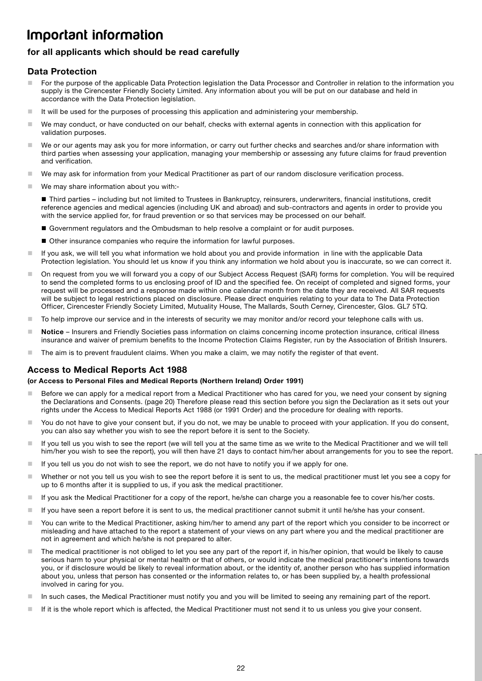# Important information

### for all applicants which should be read carefully

### Data Protection

- For the purpose of the applicable Data Protection legislation the Data Processor and Controller in relation to the information you supply is the Cirencester Friendly Society Limited. Any information about you will be put on our database and held in accordance with the Data Protection legislation.
- $\blacksquare$  It will be used for the purposes of processing this application and administering your membership.
- We may conduct, or have conducted on our behalf, checks with external agents in connection with this application for validation purposes.
- We or our agents may ask you for more information, or carry out further checks and searches and/or share information with third parties when assessing your application, managing your membership or assessing any future claims for fraud prevention and verification.
- We may ask for information from your Medical Practitioner as part of our random disclosure verification process.
- We may share information about you with:-

 Third parties – including but not limited to Trustees in Bankruptcy, reinsurers, underwriters, financial institutions, credit reference agencies and medical agencies (including UK and abroad) and sub-contractors and agents in order to provide you with the service applied for, for fraud prevention or so that services may be processed on our behalf.

- Government regulators and the Ombudsman to help resolve a complaint or for audit purposes.
- Other insurance companies who require the information for lawful purposes.
- If you ask, we will tell you what information we hold about you and provide information in line with the applicable Data Protection legislation. You should let us know if you think any information we hold about you is inaccurate, so we can correct it.
- On request from you we will forward you a copy of our Subject Access Request (SAR) forms for completion. You will be required to send the completed forms to us enclosing proof of ID and the specified fee. On receipt of completed and signed forms, your request will be processed and a response made within one calendar month from the date they are received. All SAR requests will be subject to legal restrictions placed on disclosure. Please direct enquiries relating to your data to The Data Protection Officer, Cirencester Friendly Society Limited, Mutuality House, The Mallards, South Cerney, Cirencester, Glos. GL7 5TQ.
- To help improve our service and in the interests of security we may monitor and/or record your telephone calls with us.
- Notice Insurers and Friendly Societies pass information on claims concerning income protection insurance, critical illness insurance and waiver of premium benefits to the Income Protection Claims Register, run by the Association of British Insurers.
- The aim is to prevent fraudulent claims. When you make a claim, we may notify the register of that event.

### Access to Medical Reports Act 1988

### (or Access to Personal Files and Medical Reports (Northern Ireland) Order 1991)

- Before we can apply for a medical report from a Medical Practitioner who has cared for you, we need your consent by signing the Declarations and Consents. (page 20) Therefore please read this section before you sign the Declaration as it sets out your rights under the Access to Medical Reports Act 1988 (or 1991 Order) and the procedure for dealing with reports.
- You do not have to give your consent but, if you do not, we may be unable to proceed with your application. If you do consent, you can also say whether you wish to see the report before it is sent to the Society.
- If you tell us you wish to see the report (we will tell you at the same time as we write to the Medical Practitioner and we will tell him/her you wish to see the report), you will then have 21 days to contact him/her about arrangements for you to see the report.
- $\blacksquare$  If you tell us you do not wish to see the report, we do not have to notify you if we apply for one.
- Whether or not you tell us you wish to see the report before it is sent to us, the medical practitioner must let you see a copy for up to 6 months after it is supplied to us, if you ask the medical practitioner.
- If you ask the Medical Practitioner for a copy of the report, he/she can charge you a reasonable fee to cover his/her costs.
- If you have seen a report before it is sent to us, the medical practitioner cannot submit it until he/she has your consent.
- You can write to the Medical Practitioner, asking him/her to amend any part of the report which you consider to be incorrect or misleading and have attached to the report a statement of your views on any part where you and the medical practitioner are not in agreement and which he/she is not prepared to alter.
- The medical practitioner is not obliged to let you see any part of the report if, in his/her opinion, that would be likely to cause serious harm to your physical or mental health or that of others, or would indicate the medical practitioner's intentions towards you, or if disclosure would be likely to reveal information about, or the identity of, another person who has supplied information about you, unless that person has consented or the information relates to, or has been supplied by, a health professional involved in caring for you.
- In such cases, the Medical Practitioner must notify you and you will be limited to seeing any remaining part of the report.
- If it is the whole report which is affected, the Medical Practitioner must not send it to us unless you give your consent.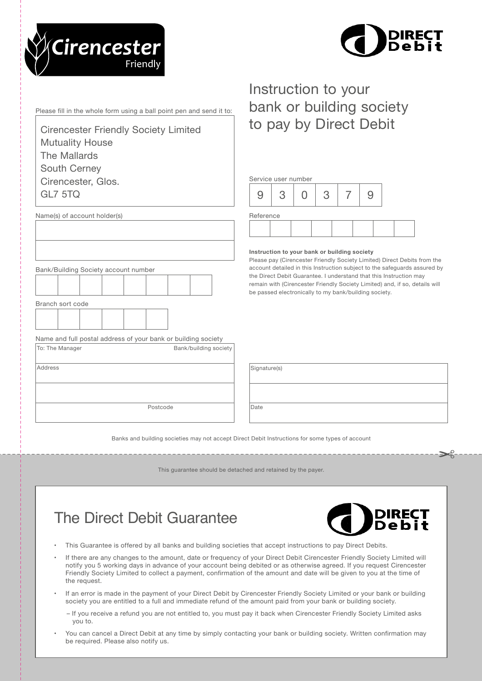



Please fill in the whole form using a ball point pen and send it to:

Cirencester Friendly Society Limited Mutuality House The Mallards South Cerney Cirencester, Glos. GL7 5TQ

# Instruction to your bank or building society to pay by Direct Debit

| Service user number |  |  |   |  |  |  |  |  |
|---------------------|--|--|---|--|--|--|--|--|
|                     |  |  | c |  |  |  |  |  |
| Reference           |  |  |   |  |  |  |  |  |
|                     |  |  |   |  |  |  |  |  |

#### Instruction to your bank or building society

Please pay (Cirencester Friendly Society Limited) Direct Debits from the account detailed in this Instruction subject to the safeguards assured by the Direct Debit Guarantee. I understand that this Instruction may remain with (Cirencester Friendly Society Limited) and, if so, details will be passed electronically to my bank/building society.

| Signature(s) |  |
|--------------|--|
|              |  |
|              |  |
|              |  |
| Date         |  |
|              |  |

Banks and building societies may not accept Direct Debit Instructions for some types of account

This guarantee should be detached and retained by the payer.

# The Direct Debit Guarantee

Postcode

To: The Manager **Bank/building society** 

Name and full postal address of your bank or building society



- This Guarantee is offered by all banks and building societies that accept instructions to pay Direct Debits.
- If there are any changes to the amount, date or frequency of your Direct Debit Cirencester Friendly Society Limited will notify you 5 working days in advance of your account being debited or as otherwise agreed. If you request Cirencester Friendly Society Limited to collect a payment, confirmation of the amount and date will be given to you at the time of the request.
- If an error is made in the payment of your Direct Debit by Cirencester Friendly Society Limited or your bank or building society you are entitled to a full and immediate refund of the amount paid from your bank or building society.
	- If you receive a refund you are not entitled to, you must pay it back when Cirencester Friendly Society Limited asks you to.
- You can cancel a Direct Debit at any time by simply contacting your bank or building society. Written confirmation may be required. Please also notify us.

Name(s) of account holder(s)

Bank/Building Society account number

Address

Branch sort code